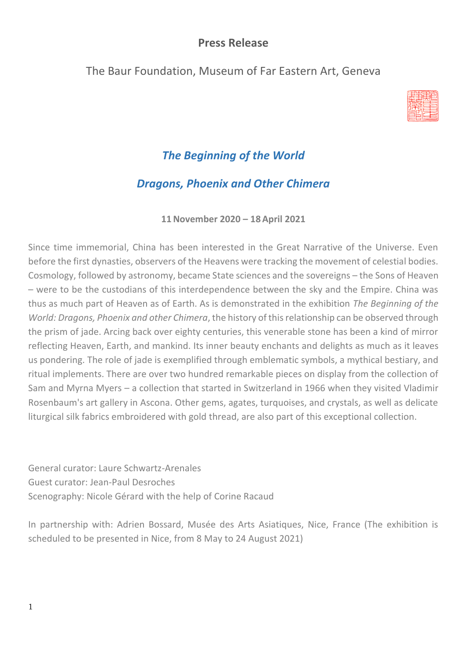## **Press Release**

## The Baur Foundation, Museum of Far Eastern Art, Geneva



# *The Beginning of the World*

## *Dragons, Phoenix and Other Chimera*

**11November 2020 – 18 April 2021**

Since time immemorial, China has been interested in the Great Narrative of the Universe. Even before the first dynasties, observers of the Heavens were tracking the movement of celestial bodies. Cosmology, followed by astronomy, became State sciences and the sovereigns – the Sons of Heaven – were to be the custodians of this interdependence between the sky and the Empire. China was thus as much part of Heaven as of Earth. As is demonstrated in the exhibition *The Beginning of the World: Dragons, Phoenix and other Chimera*, the history of this relationship can be observed through the prism of jade. Arcing back over eighty centuries, this venerable stone has been a kind of mirror reflecting Heaven, Earth, and mankind. Its inner beauty enchants and delights as much as it leaves us pondering. The role of jade is exemplified through emblematic symbols, a mythical bestiary, and ritual implements. There are over two hundred remarkable pieces on display from the collection of Sam and Myrna Myers – a collection that started in Switzerland in 1966 when they visited Vladimir Rosenbaum's art gallery in Ascona. Other gems, agates, turquoises, and crystals, as well as delicate liturgical silk fabrics embroidered with gold thread, are also part of this exceptional collection.

General curator: Laure Schwartz-Arenales Guest curator: Jean-Paul Desroches Scenography: Nicole Gérard with the help of Corine Racaud

In partnership with: Adrien Bossard, Musée des Arts Asiatiques, Nice, France (The exhibition is scheduled to be presented in Nice, from 8 May to 24 August 2021)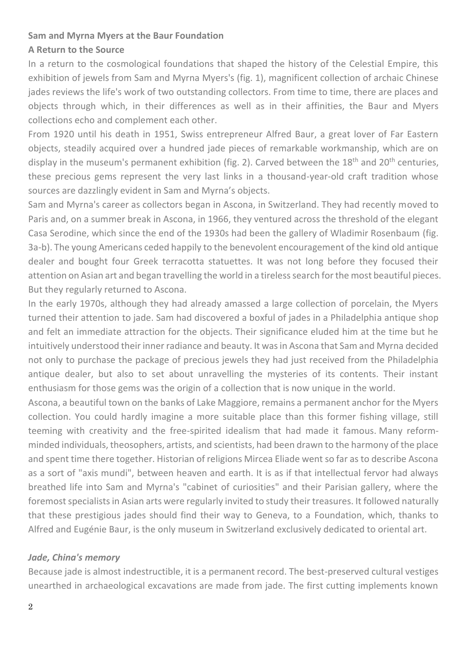#### **Sam and Myrna Myers at the Baur Foundation**

#### **A Return to the Source**

In a return to the cosmological foundations that shaped the history of the Celestial Empire, this exhibition of jewels from Sam and Myrna Myers's (fig. 1), magnificent collection of archaic Chinese jades reviews the life's work of two outstanding collectors. From time to time, there are places and objects through which, in their differences as well as in their affinities, the Baur and Myers collections echo and complement each other.

From 1920 until his death in 1951, Swiss entrepreneur Alfred Baur, a great lover of Far Eastern objects, steadily acquired over a hundred jade pieces of remarkable workmanship, which are on display in the museum's permanent exhibition (fig. 2). Carved between the  $18<sup>th</sup>$  and  $20<sup>th</sup>$  centuries, these precious gems represent the very last links in a thousand-year-old craft tradition whose sources are dazzlingly evident in Sam and Myrna's objects.

Sam and Myrna's career as collectors began in Ascona, in Switzerland. They had recently moved to Paris and, on a summer break in Ascona, in 1966, they ventured across the threshold of the elegant Casa Serodine, which since the end of the 1930s had been the gallery of Wladimir Rosenbaum (fig. 3a-b). The young Americans ceded happily to the benevolent encouragement of the kind old antique dealer and bought four Greek terracotta statuettes. It was not long before they focused their attention on Asian art and began travelling the world in a tireless search for the most beautiful pieces. But they regularly returned to Ascona.

In the early 1970s, although they had already amassed a large collection of porcelain, the Myers turned their attention to jade. Sam had discovered a boxful of jades in a Philadelphia antique shop and felt an immediate attraction for the objects. Their significance eluded him at the time but he intuitively understood their inner radiance and beauty. It was in Ascona that Sam and Myrna decided not only to purchase the package of precious jewels they had just received from the Philadelphia antique dealer, but also to set about unravelling the mysteries of its contents. Their instant enthusiasm for those gems was the origin of a collection that is now unique in the world.

Ascona, a beautiful town on the banks of Lake Maggiore, remains a permanent anchor for the Myers collection. You could hardly imagine a more suitable place than this former fishing village, still teeming with creativity and the free-spirited idealism that had made it famous. Many reformminded individuals, theosophers, artists, and scientists, had been drawn to the harmony of the place and spent time there together. Historian of religions Mircea Eliade went so far as to describe Ascona as a sort of "axis mundi", between heaven and earth. It is as if that intellectual fervor had always breathed life into Sam and Myrna's "cabinet of curiosities" and their Parisian gallery, where the foremost specialists in Asian arts were regularly invited to study their treasures. It followed naturally that these prestigious jades should find their way to Geneva, to a Foundation, which, thanks to Alfred and Eugénie Baur, is the only museum in Switzerland exclusively dedicated to oriental art.

#### *Jade, China's memory*

Because jade is almost indestructible, it is a permanent record. The best-preserved cultural vestiges unearthed in archaeological excavations are made from jade. The first cutting implements known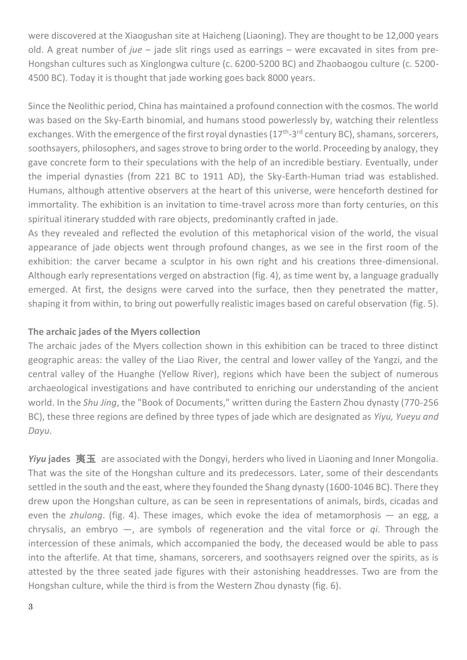were discovered at the Xiaogushan site at Haicheng (Liaoning). They are thought to be 12,000 years old. A great number of *jue* – jade slit rings used as earrings – were excavated in sites from pre-Hongshan cultures such as Xinglongwa culture (c. 6200-5200 BC) and Zhaobaogou culture (c. 5200- 4500 BC). Today it is thought that jade working goes back 8000 years.

Since the Neolithic period, China has maintained a profound connection with the cosmos. The world was based on the Sky-Earth binomial, and humans stood powerlessly by, watching their relentless exchanges. With the emergence of the first royal dynasties (17<sup>th</sup>-3<sup>rd</sup> century BC), shamans, sorcerers, soothsayers, philosophers, and sages strove to bring order to the world. Proceeding by analogy, they gave concrete form to their speculations with the help of an incredible bestiary. Eventually, under the imperial dynasties (from 221 BC to 1911 AD), the Sky-Earth-Human triad was established. Humans, although attentive observers at the heart of this universe, were henceforth destined for immortality. The exhibition is an invitation to time-travel across more than forty centuries, on this spiritual itinerary studded with rare objects, predominantly crafted in jade.

As they revealed and reflected the evolution of this metaphorical vision of the world, the visual appearance of jade objects went through profound changes, as we see in the first room of the exhibition: the carver became a sculptor in his own right and his creations three-dimensional. Although early representations verged on abstraction (fig. 4), as time went by, a language gradually emerged. At first, the designs were carved into the surface, then they penetrated the matter, shaping it from within, to bring out powerfully realistic images based on careful observation (fig. 5).

#### **The archaic jades of the Myers collection**

The archaic jades of the Myers collection shown in this exhibition can be traced to three distinct geographic areas: the valley of the Liao River, the central and lower valley of the Yangzi, and the central valley of the Huanghe (Yellow River), regions which have been the subject of numerous archaeological investigations and have contributed to enriching our understanding of the ancient world. In the *Shu Jing*, the "Book of Documents," written during the Eastern Zhou dynasty (770-256 BC), these three regions are defined by three types of jade which are designated as *Yiyu, Yueyu and Dayu*.

*Yiyu* **jades** 夷玉 are associated with the Dongyi, herders who lived in Liaoning and Inner Mongolia. That was the site of the Hongshan culture and its predecessors. Later, some of their descendants settled in the south and the east, where they founded the Shang dynasty (1600-1046 BC). There they drew upon the Hongshan culture, as can be seen in representations of animals, birds, cicadas and even the *zhulong*. (fig. 4). These images, which evoke the idea of metamorphosis — an egg, a chrysalis, an embryo —, are symbols of regeneration and the vital force or *qi*. Through the intercession of these animals, which accompanied the body, the deceased would be able to pass into the afterlife. At that time, shamans, sorcerers, and soothsayers reigned over the spirits, as is attested by the three seated jade figures with their astonishing headdresses. Two are from the Hongshan culture, while the third is from the Western Zhou dynasty (fig. 6).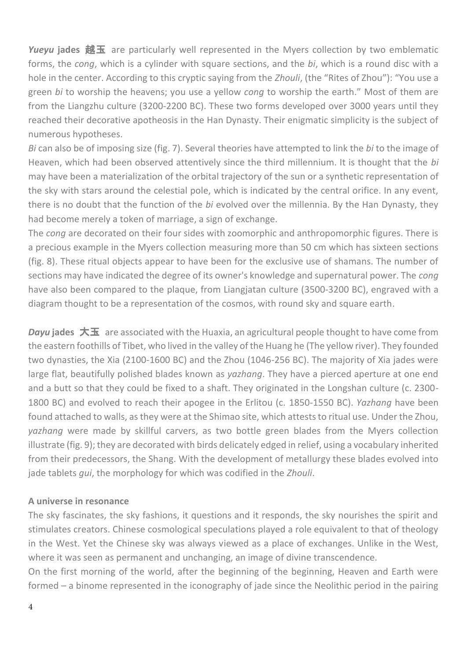*Yueyu* **jades** 越玉 are particularly well represented in the Myers collection by two emblematic forms, the *cong*, which is a cylinder with square sections, and the *bi*, which is a round disc with a hole in the center. According to this cryptic saying from the *Zhouli*, (the "Rites of Zhou"): "You use a green *bi* to worship the heavens; you use a yellow *cong* to worship the earth." Most of them are from the Liangzhu culture (3200-2200 BC). These two forms developed over 3000 years until they reached their decorative apotheosis in the Han Dynasty. Their enigmatic simplicity is the subject of numerous hypotheses.

*Bi* can also be of imposing size (fig. 7). Several theories have attempted to link the *bi* to the image of Heaven, which had been observed attentively since the third millennium. It is thought that the *bi* may have been a materialization of the orbital trajectory of the sun or a synthetic representation of the sky with stars around the celestial pole, which is indicated by the central orifice. In any event, there is no doubt that the function of the *bi* evolved over the millennia. By the Han Dynasty, they had become merely a token of marriage, a sign of exchange.

The *cong* are decorated on their four sides with zoomorphic and anthropomorphic figures. There is a precious example in the Myers collection measuring more than 50 cm which has sixteen sections (fig. 8). These ritual objects appear to have been for the exclusive use of shamans. The number of sections may have indicated the degree of its owner's knowledge and supernatural power. The *cong* have also been compared to the plaque, from Liangjatan culture (3500-3200 BC), engraved with a diagram thought to be a representation of the cosmos, with round sky and square earth.

*Dayu* jades 大玉 are associated with the Huaxia, an agricultural people thought to have come from the eastern foothills of Tibet, who lived in the valley of the Huang he (The yellow river). They founded two dynasties, the Xia (2100-1600 BC) and the Zhou (1046-256 BC). The majority of Xia jades were large flat, beautifully polished blades known as *yazhang*. They have a pierced aperture at one end and a butt so that they could be fixed to a shaft. They originated in the Longshan culture (c. 2300- 1800 BC) and evolved to reach their apogee in the Erlitou (c. 1850-1550 BC). *Yazhang* have been found attached to walls, as they were at the Shimao site, which attests to ritual use. Under the Zhou, *yazhang* were made by skillful carvers, as two bottle green blades from the Myers collection illustrate (fig. 9); they are decorated with birds delicately edged in relief, using a vocabulary inherited from their predecessors, the Shang. With the development of metallurgy these blades evolved into jade tablets *gui*, the morphology for which was codified in the *Zhouli*.

#### **A universe in resonance**

The sky fascinates, the sky fashions, it questions and it responds, the sky nourishes the spirit and stimulates creators. Chinese cosmological speculations played a role equivalent to that of theology in the West. Yet the Chinese sky was always viewed as a place of exchanges. Unlike in the West, where it was seen as permanent and unchanging, an image of divine transcendence.

On the first morning of the world, after the beginning of the beginning, Heaven and Earth were formed – a binome represented in the iconography of jade since the Neolithic period in the pairing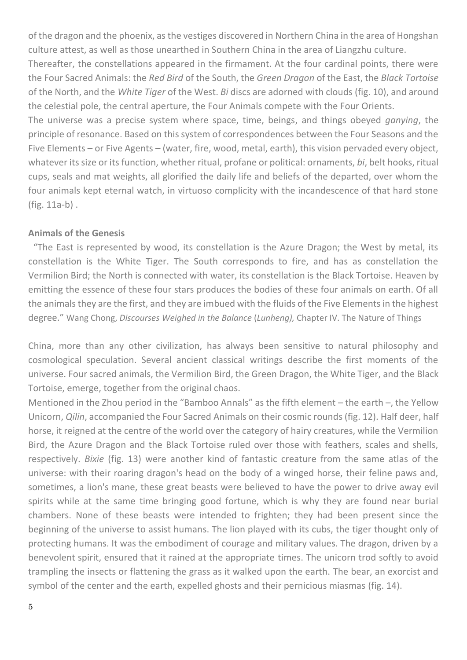of the dragon and the phoenix, as the vestiges discovered in Northern China in the area of Hongshan culture attest, as well as those unearthed in Southern China in the area of Liangzhu culture.

Thereafter, the constellations appeared in the firmament. At the four cardinal points, there were the Four Sacred Animals: the *Red Bird* of the South, the *Green Dragon* of the East, the *Black Tortoise* of the North, and the *White Tiger* of the West. *Bi* discs are adorned with clouds (fig. 10), and around the celestial pole, the central aperture, the Four Animals compete with the Four Orients.

The universe was a precise system where space, time, beings, and things obeyed *ganying*, the principle of resonance. Based on this system of correspondences between the Four Seasons and the Five Elements – or Five Agents – (water, fire, wood, metal, earth), this vision pervaded every object, whatever its size or its function, whether ritual, profane or political: ornaments, *bi*, belt hooks, ritual cups, seals and mat weights, all glorified the daily life and beliefs of the departed, over whom the four animals kept eternal watch, in virtuoso complicity with the incandescence of that hard stone (fig. 11a-b) .

#### **Animals of the Genesis**

"The East is represented by wood, its constellation is the Azure Dragon; the West by metal, its constellation is the White Tiger. The South corresponds to fire, and has as constellation the Vermilion Bird; the North is connected with water, its constellation is the Black Tortoise. Heaven by emitting the essence of these four stars produces the bodies of these four animals on earth. Of all the animals they are the first, and they are imbued with the fluids of the Five Elements in the highest degree." Wang Chong, *Discourses Weighed in the Balance* (*Lunheng),* Chapter IV. The Nature of Things

China, more than any other civilization, has always been sensitive to natural philosophy and cosmological speculation. Several ancient classical writings describe the first moments of the universe. Four sacred animals, the Vermilion Bird, the Green Dragon, the White Tiger, and the Black Tortoise, emerge, together from the original chaos.

Mentioned in the Zhou period in the "Bamboo Annals" as the fifth element – the earth –, the Yellow Unicorn, *Qilin*, accompanied the Four Sacred Animals on their cosmic rounds(fig. 12). Half deer, half horse, it reigned at the centre of the world over the category of hairy creatures, while the Vermilion Bird, the Azure Dragon and the Black Tortoise ruled over those with feathers, scales and shells, respectively. *Bixie* (fig. 13) were another kind of fantastic creature from the same atlas of the universe: with their roaring dragon's head on the body of a winged horse, their feline paws and, sometimes, a lion's mane, these great beasts were believed to have the power to drive away evil spirits while at the same time bringing good fortune, which is why they are found near burial chambers. None of these beasts were intended to frighten; they had been present since the beginning of the universe to assist humans. The lion played with its cubs, the tiger thought only of protecting humans. It was the embodiment of courage and military values. The dragon, driven by a benevolent spirit, ensured that it rained at the appropriate times. The unicorn trod softly to avoid trampling the insects or flattening the grass as it walked upon the earth. The bear, an exorcist and symbol of the center and the earth, expelled ghosts and their pernicious miasmas (fig. 14).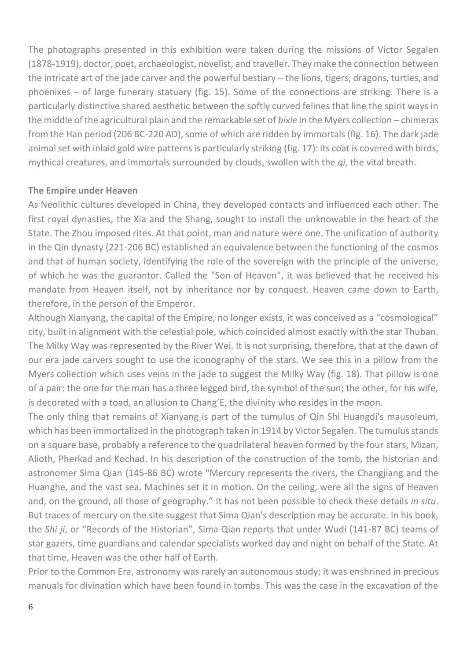The photographs presented in this exhibition were taken during the missions of Victor Segalen (1878-1919), doctor, poet, archaeologist, novelist, and traveller. They make the connection between the intricate art of the jade carver and the powerful bestiary – the lions, tigers, dragons, turtles, and phoenixes – of large funerary statuary (fig. 15). Some of the connections are striking. There is a particularly distinctive shared aesthetic between the softly curved felines that line the spirit ways in the middle of the agricultural plain and the remarkable set of *bixie* in the Myers collection – chimeras from the Han period (206 BC-220 AD), some of which are ridden by immortals (fig. 16). The dark jade animal set with inlaid gold wire patterns is particularly striking (fig. 17): its coat is covered with birds, mythical creatures, and immortals surrounded by clouds, swollen with the *qi*, the vital breath.

#### **The Empire under Heaven**

As Neolithic cultures developed in China, they developed contacts and influenced each other. The first royal dynasties, the Xia and the Shang, sought to install the unknowable in the heart of the State. The Zhou imposed rites. At that point, man and nature were one. The unification of authority in the Qin dynasty (221-206 BC) established an equivalence between the functioning of the cosmos and that of human society, identifying the role of the sovereign with the principle of the universe, of which he was the guarantor. Called the "Son of Heaven", it was believed that he received his mandate from Heaven itself, not by inheritance nor by conquest. Heaven came down to Earth, therefore, in the person of the Emperor.

Although Xianyang, the capital of the Empire, no longer exists, it was conceived as a "cosmological" city, built in alignment with the celestial pole, which coincided almost exactly with the star Thuban. The Milky Way was represented by the River Wei. It is not surprising, therefore, that at the dawn of our era jade carvers sought to use the iconography of the stars. We see this in a pillow from the Myers collection which uses veins in the jade to suggest the Milky Way (fig. 18). That pillow is one of a pair: the one for the man has a three legged bird, the symbol of the sun; the other, for his wife, is decorated with a toad, an allusion to Chang'E, the divinity who resides in the moon.

The only thing that remains of Xianyang is part of the tumulus of Qin Shi Huangdi's mausoleum, which has been immortalized in the photograph taken in 1914 by Victor Segalen. The tumulus stands on a square base, probably a reference to the quadrilateral heaven formed by the four stars, Mizan, Alioth, Pherkad and Kochad. In his description of the construction of the tomb, the historian and astronomer Sima Qian (145-86 BC) wrote "Mercury represents the rivers, the Changjiang and the Huanghe, and the vast sea. Machines set it in motion. On the ceiling, were all the signs of Heaven and, on the ground, all those of geography." It has not been possible to check these details *in situ*. But traces of mercury on the site suggest that Sima Qian's description may be accurate. In his book, the *Shi ji*, or "Records of the Historian", Sima Qian reports that under Wudi (141-87 BC) teams of star gazers, time guardians and calendar specialists worked day and night on behalf of the State. At that time, Heaven was the other half of Earth.

Prior to the Common Era, astronomy was rarely an autonomous study; it was enshrined in precious manuals for divination which have been found in tombs. This was the case in the excavation of the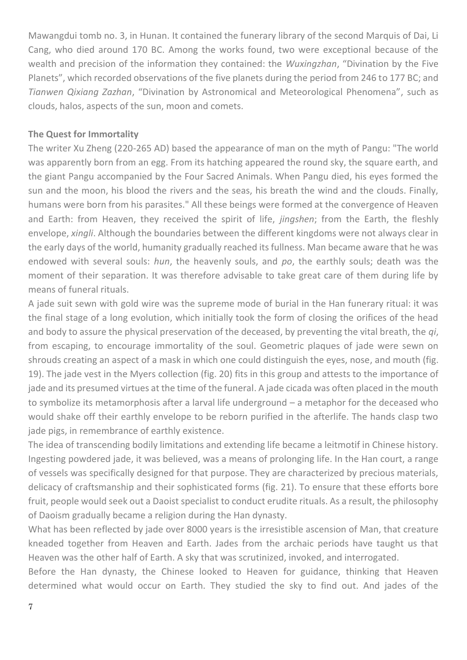Mawangdui tomb no. 3, in Hunan. It contained the funerary library of the second Marquis of Dai, Li Cang, who died around 170 BC. Among the works found, two were exceptional because of the wealth and precision of the information they contained: the *Wuxingzhan*, "Divination by the Five Planets", which recorded observations of the five planets during the period from 246 to 177 BC; and *Tianwen Qixiang Zazhan*, "Divination by Astronomical and Meteorological Phenomena", such as clouds, halos, aspects of the sun, moon and comets.

#### **The Quest for Immortality**

The writer Xu Zheng (220-265 AD) based the appearance of man on the myth of Pangu: "The world was apparently born from an egg. From its hatching appeared the round sky, the square earth, and the giant Pangu accompanied by the Four Sacred Animals. When Pangu died, his eyes formed the sun and the moon, his blood the rivers and the seas, his breath the wind and the clouds. Finally, humans were born from his parasites." All these beings were formed at the convergence of Heaven and Earth: from Heaven, they received the spirit of life, *jingshen*; from the Earth, the fleshly envelope, *xingli*. Although the boundaries between the different kingdoms were not always clear in the early days of the world, humanity gradually reached its fullness. Man became aware that he was endowed with several souls: *hun*, the heavenly souls, and *po*, the earthly souls; death was the moment of their separation. It was therefore advisable to take great care of them during life by means of funeral rituals.

A jade suit sewn with gold wire was the supreme mode of burial in the Han funerary ritual: it was the final stage of a long evolution, which initially took the form of closing the orifices of the head and body to assure the physical preservation of the deceased, by preventing the vital breath, the *qi*, from escaping, to encourage immortality of the soul. Geometric plaques of jade were sewn on shrouds creating an aspect of a mask in which one could distinguish the eyes, nose, and mouth (fig. 19). The jade vest in the Myers collection (fig. 20) fits in this group and attests to the importance of jade and its presumed virtues at the time of the funeral. A jade cicada was often placed in the mouth to symbolize its metamorphosis after a larval life underground – a metaphor for the deceased who would shake off their earthly envelope to be reborn purified in the afterlife. The hands clasp two jade pigs, in remembrance of earthly existence.

The idea of transcending bodily limitations and extending life became a leitmotif in Chinese history. Ingesting powdered jade, it was believed, was a means of prolonging life. In the Han court, a range of vessels was specifically designed for that purpose. They are characterized by precious materials, delicacy of craftsmanship and their sophisticated forms (fig. 21). To ensure that these efforts bore fruit, people would seek out a Daoist specialist to conduct erudite rituals. As a result, the philosophy of Daoism gradually became a religion during the Han dynasty.

What has been reflected by jade over 8000 years is the irresistible ascension of Man, that creature kneaded together from Heaven and Earth. Jades from the archaic periods have taught us that Heaven was the other half of Earth. A sky that was scrutinized, invoked, and interrogated.

Before the Han dynasty, the Chinese looked to Heaven for guidance, thinking that Heaven determined what would occur on Earth. They studied the sky to find out. And jades of the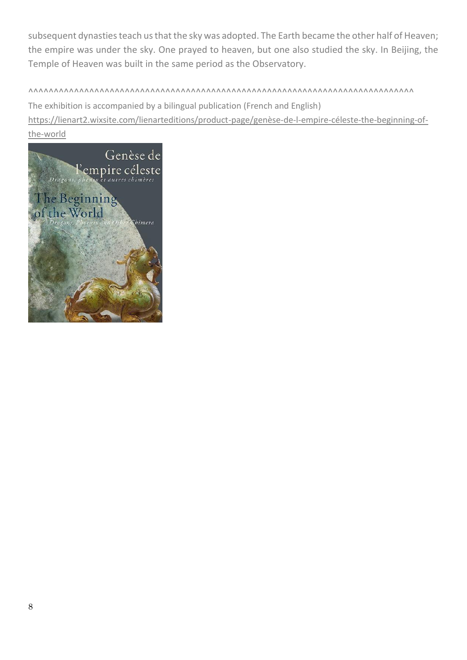subsequent dynasties teach us that the sky was adopted. The Earth became the other half of Heaven; the empire was under the sky. One prayed to heaven, but one also studied the sky. In Beijing, the Temple of Heaven was built in the same period as the Observatory.

^^^^^^^^^^^^^^^^^^^^^^^^^^^^^^^^^^^^^^^^^^^^^^^^^^^^^^^^^^^^^^^^^^^^^^^^^^^^ The exhibition is accompanied by a bilingual publication (French and English) [https://lienart2.wixsite.com/lienarteditions/product-page/genèse-de-l-empire-céleste-the-beginning-of](https://lienart2.wixsite.com/lienarteditions/product-page/genèse-de-l-empire-céleste-the-beginning-of-the-world)[the-world](https://lienart2.wixsite.com/lienarteditions/product-page/genèse-de-l-empire-céleste-the-beginning-of-the-world)